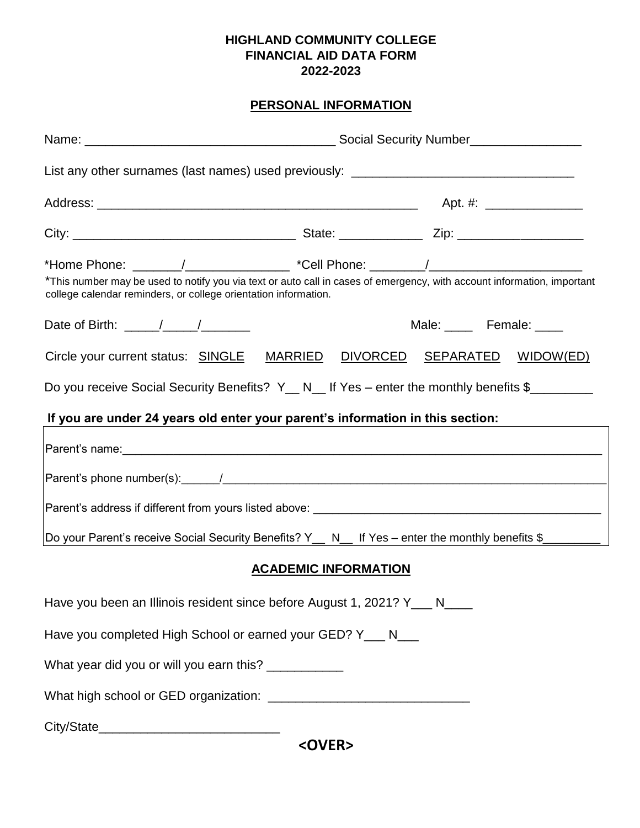## **HIGHLAND COMMUNITY COLLEGE FINANCIAL AID DATA FORM 2022-2023**

## **PERSONAL INFORMATION**

| List any other surnames (last names) used previously: ___________________________                                                                                                                                                                                               |  |                          |  |  |
|---------------------------------------------------------------------------------------------------------------------------------------------------------------------------------------------------------------------------------------------------------------------------------|--|--------------------------|--|--|
|                                                                                                                                                                                                                                                                                 |  |                          |  |  |
|                                                                                                                                                                                                                                                                                 |  |                          |  |  |
| *Home Phone: _______/_____________________ *Cell Phone: ________/________________<br>*This number may be used to notify you via text or auto call in cases of emergency, with account information, important<br>college calendar reminders, or college orientation information. |  |                          |  |  |
| Date of Birth: $\frac{\sqrt{2}}{2}$                                                                                                                                                                                                                                             |  | Male: _____ Female: ____ |  |  |
| Circle your current status: SINGLE MARRIED DIVORCED SEPARATED WIDOW(ED)                                                                                                                                                                                                         |  |                          |  |  |
| Do you receive Social Security Benefits? Y_ N_ If Yes – enter the monthly benefits \$________                                                                                                                                                                                   |  |                          |  |  |
| If you are under 24 years old enter your parent's information in this section:                                                                                                                                                                                                  |  |                          |  |  |
|                                                                                                                                                                                                                                                                                 |  |                          |  |  |
|                                                                                                                                                                                                                                                                                 |  |                          |  |  |
|                                                                                                                                                                                                                                                                                 |  |                          |  |  |
| Do your Parent's receive Social Security Benefits? Y__ N__ If Yes - enter the monthly benefits \$________                                                                                                                                                                       |  |                          |  |  |
| <b>ACADEMIC INFORMATION</b>                                                                                                                                                                                                                                                     |  |                          |  |  |
| Have you been an Illinois resident since before August 1, 2021? Y___ N___                                                                                                                                                                                                       |  |                          |  |  |
| Have you completed High School or earned your GED? Y___ N___                                                                                                                                                                                                                    |  |                          |  |  |
| What year did you or will you earn this? ___________                                                                                                                                                                                                                            |  |                          |  |  |
|                                                                                                                                                                                                                                                                                 |  |                          |  |  |
| $\angle$ OVED $\angle$                                                                                                                                                                                                                                                          |  |                          |  |  |

**<OVER>**